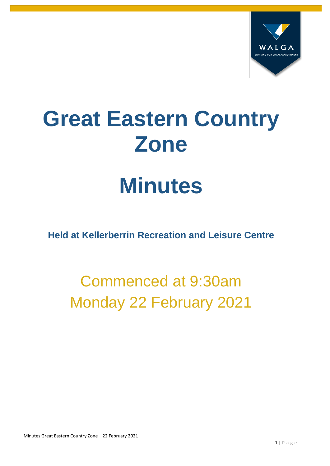

# **Great Eastern Country Zone**

## **Minutes**

**Held at Kellerberrin Recreation and Leisure Centre**

## Commenced at 9:30am Monday 22 February 2021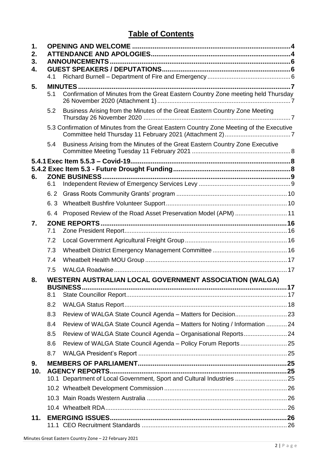#### **Table of Contents**

| 1.       |     |                                                                                                 |    |  |  |  |  |  |
|----------|-----|-------------------------------------------------------------------------------------------------|----|--|--|--|--|--|
| 2.       |     |                                                                                                 |    |  |  |  |  |  |
| 3.<br>4. |     |                                                                                                 |    |  |  |  |  |  |
|          | 4.1 |                                                                                                 |    |  |  |  |  |  |
| 5.       |     |                                                                                                 |    |  |  |  |  |  |
|          | 5.1 | Confirmation of Minutes from the Great Eastern Country Zone meeting held Thursday               |    |  |  |  |  |  |
|          | 5.2 | Business Arising from the Minutes of the Great Eastern Country Zone Meeting                     |    |  |  |  |  |  |
|          |     | 5.3 Confirmation of Minutes from the Great Eastern Country Zone Meeting of the Executive        |    |  |  |  |  |  |
|          | 5.4 | Business Arising from the Minutes of the Great Eastern Country Zone Executive                   |    |  |  |  |  |  |
|          |     |                                                                                                 |    |  |  |  |  |  |
|          |     |                                                                                                 |    |  |  |  |  |  |
| 6.       | 6.1 | <b>ZONE BUSINESS</b>                                                                            |    |  |  |  |  |  |
|          | 6.2 |                                                                                                 |    |  |  |  |  |  |
|          | 6.3 |                                                                                                 |    |  |  |  |  |  |
|          | 6.4 | Proposed Review of the Road Asset Preservation Model (APM)  11                                  |    |  |  |  |  |  |
| 7.       |     |                                                                                                 |    |  |  |  |  |  |
|          | 7.1 |                                                                                                 |    |  |  |  |  |  |
|          | 7.2 |                                                                                                 |    |  |  |  |  |  |
|          | 7.3 |                                                                                                 |    |  |  |  |  |  |
|          | 7.4 |                                                                                                 |    |  |  |  |  |  |
|          | 7.5 |                                                                                                 |    |  |  |  |  |  |
| 8.       |     | WESTERN AUSTRALIAN LOCAL GOVERNMENT ASSOCIATION (WALGA)<br><b>BUSINESS</b>                      | 17 |  |  |  |  |  |
|          | 8.1 |                                                                                                 |    |  |  |  |  |  |
|          | 8.2 |                                                                                                 |    |  |  |  |  |  |
|          | 8.3 |                                                                                                 |    |  |  |  |  |  |
|          | 8.4 | Review of WALGA State Council Agenda - Matters for Noting / Information  24                     |    |  |  |  |  |  |
|          | 8.5 | Review of WALGA State Council Agenda - Organisational Reports 24                                |    |  |  |  |  |  |
|          | 8.6 |                                                                                                 |    |  |  |  |  |  |
|          | 8.7 |                                                                                                 |    |  |  |  |  |  |
| 9.       |     |                                                                                                 |    |  |  |  |  |  |
| 10.      |     | <b>AGENCY REPORTS</b><br>10.1 Department of Local Government, Sport and Cultural Industries  25 |    |  |  |  |  |  |
|          |     |                                                                                                 |    |  |  |  |  |  |
|          |     |                                                                                                 |    |  |  |  |  |  |
|          |     |                                                                                                 |    |  |  |  |  |  |
| 11.      |     |                                                                                                 |    |  |  |  |  |  |
|          |     |                                                                                                 |    |  |  |  |  |  |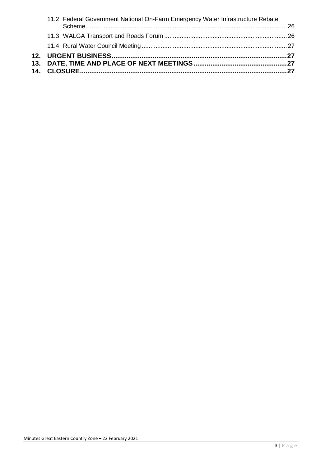| 11.2 Federal Government National On-Farm Emergency Water Infrastructure Rebate |  |
|--------------------------------------------------------------------------------|--|
|                                                                                |  |
|                                                                                |  |
|                                                                                |  |
|                                                                                |  |
|                                                                                |  |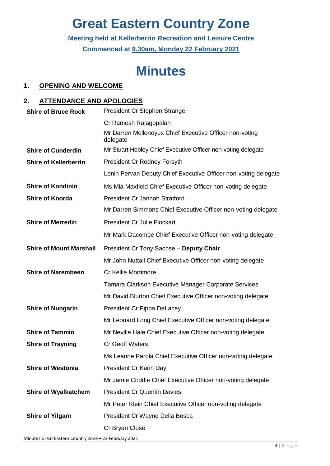## **Great Eastern Country Zone**

**Meeting held at Kellerberrin Recreation and Leisure Centre Commenced at 9.30am, Monday 22 February 2021**

### **Minutes**

#### <span id="page-3-0"></span>**1. OPENING AND WELCOME**

#### <span id="page-3-1"></span>**2. ATTENDANCE AND APOLOGIES**

| <b>Shire of Bruce Rock</b>     | President Cr Stephen Strange                                        |
|--------------------------------|---------------------------------------------------------------------|
|                                | Cr Ramesh Rajagopalan                                               |
|                                | Mr Darren Mollenoyux Chief Executive Officer non-voting<br>delegate |
| <b>Shire of Cunderdin</b>      | Mr Stuart Hobley Chief Executive Officer non-voting delegate        |
| <b>Shire of Kellerberrin</b>   | <b>President Cr Rodney Forsyth</b>                                  |
|                                | Lenin Pervan Deputy Chief Executive Officer non-voting delegate     |
| <b>Shire of Kondinin</b>       | Ms Mia Maxfield Chief Executive Officer non-voting delegate         |
| <b>Shire of Koorda</b>         | <b>President Cr Jannah Stratford</b>                                |
|                                | Mr Darren Simmons Chief Executive Officer non-voting delegate       |
| <b>Shire of Merredin</b>       | <b>President Cr Julie Flockart</b>                                  |
|                                | Mr Mark Dacombe Chief Executive Officer non-voting delegate         |
| <b>Shire of Mount Marshall</b> | President Cr Tony Sachse - Deputy Chair                             |
|                                | Mr John Nuttall Chief Executive Officer non-voting delegate         |
| <b>Shire of Narembeen</b>      | Cr Kellie Mortimore                                                 |
|                                | <b>Tamara Clarkson Executive Manager Corporate Services</b>         |
|                                | Mr David Blurton Chief Executive Officer non-voting delegate        |
| <b>Shire of Nungarin</b>       | President Cr Pippa DeLacey                                          |
|                                | Mr Leonard Long Chief Executive Officer non-voting delegate         |
| <b>Shire of Tammin</b>         | Mr Neville Hale Chief Executive Officer non-voting delegate         |
| <b>Shire of Trayning</b>       | <b>Cr Geoff Waters</b>                                              |
|                                | Ms Leanne Parola Chief Executive Officer non-voting delegate        |
| <b>Shire of Westonia</b>       | President Cr Karin Day                                              |
|                                | Mr Jamie Criddle Chief Executive Officer non-voting delegate        |
| <b>Shire of Wyalkatchem</b>    | <b>President Cr Quentin Davies</b>                                  |
|                                | Mr Peter Klein Chief Executive Officer non-voting delegate          |
| <b>Shire of Yilgarn</b>        | President Cr Wayne Della Bosca                                      |
|                                | Cr Bryan Close                                                      |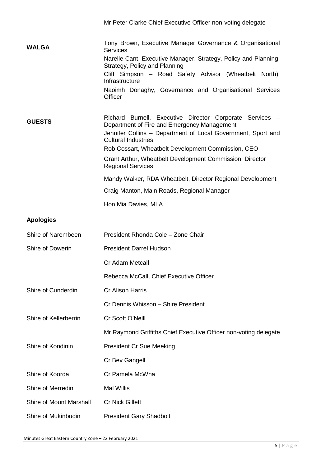|                         | Mr Peter Clarke Chief Executive Officer non-voting delegate                                                                                                                                           |
|-------------------------|-------------------------------------------------------------------------------------------------------------------------------------------------------------------------------------------------------|
| <b>WALGA</b>            | Tony Brown, Executive Manager Governance & Organisational<br><b>Services</b>                                                                                                                          |
|                         | Narelle Cant, Executive Manager, Strategy, Policy and Planning,<br>Strategy, Policy and Planning                                                                                                      |
|                         | Cliff Simpson - Road Safety Advisor (Wheatbelt North),<br>Infrastructure                                                                                                                              |
|                         | Naoimh Donaghy, Governance and Organisational Services<br><b>Officer</b>                                                                                                                              |
| <b>GUESTS</b>           | Richard Burnell, Executive Director Corporate Services -<br>Department of Fire and Emergency Management<br>Jennifer Collins - Department of Local Government, Sport and<br><b>Cultural Industries</b> |
|                         | Rob Cossart, Wheatbelt Development Commission, CEO                                                                                                                                                    |
|                         | Grant Arthur, Wheatbelt Development Commission, Director<br><b>Regional Services</b>                                                                                                                  |
|                         | Mandy Walker, RDA Wheatbelt, Director Regional Development                                                                                                                                            |
|                         | Craig Manton, Main Roads, Regional Manager                                                                                                                                                            |
|                         | Hon Mia Davies, MLA                                                                                                                                                                                   |
| <b>Apologies</b>        |                                                                                                                                                                                                       |
| Shire of Narembeen      | President Rhonda Cole - Zone Chair                                                                                                                                                                    |
| Shire of Dowerin        | <b>President Darrel Hudson</b>                                                                                                                                                                        |
|                         | Cr Adam Metcalf                                                                                                                                                                                       |
|                         | Rebecca McCall, Chief Executive Officer                                                                                                                                                               |
| Shire of Cunderdin      | Cr Alison Harris                                                                                                                                                                                      |
|                         | Cr Dennis Whisson - Shire President                                                                                                                                                                   |
| Shire of Kellerberrin   | Cr Scott O'Neill                                                                                                                                                                                      |
|                         | Mr Raymond Griffiths Chief Executive Officer non-voting delegate                                                                                                                                      |
| Shire of Kondinin       | <b>President Cr Sue Meeking</b>                                                                                                                                                                       |
|                         | Cr Bev Gangell                                                                                                                                                                                        |
| Shire of Koorda         | Cr Pamela McWha                                                                                                                                                                                       |
| Shire of Merredin       | <b>Mal Willis</b>                                                                                                                                                                                     |
| Shire of Mount Marshall | <b>Cr Nick Gillett</b>                                                                                                                                                                                |
| Shire of Mukinbudin     | <b>President Gary Shadbolt</b>                                                                                                                                                                        |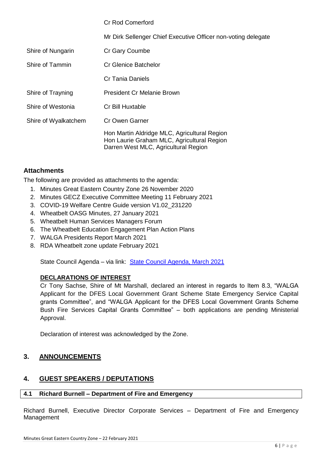| <b>Cr Rod Comerford</b>                                                                                                            |
|------------------------------------------------------------------------------------------------------------------------------------|
| Mr Dirk Sellenger Chief Executive Officer non-voting delegate                                                                      |
| Cr Gary Coumbe                                                                                                                     |
| Cr Glenice Batchelor                                                                                                               |
| Cr Tania Daniels                                                                                                                   |
| <b>President Cr Melanie Brown</b>                                                                                                  |
| Cr Bill Huxtable                                                                                                                   |
| Cr Owen Garner                                                                                                                     |
| Hon Martin Aldridge MLC, Agricultural Region<br>Hon Laurie Graham MLC, Agricultural Region<br>Darren West MLC, Agricultural Region |
|                                                                                                                                    |

#### **Attachments**

The following are provided as attachments to the agenda:

- 1. Minutes Great Eastern Country Zone 26 November 2020
- 2. Minutes GECZ Executive Committee Meeting 11 February 2021
- 3. COVID-19 Welfare Centre Guide version V1.02\_231220
- 4. Wheatbelt OASG Minutes, 27 January 2021
- 5. Wheatbelt Human Services Managers Forum
- 6. The Wheatbelt Education Engagement Plan Action Plans
- 7. WALGA Presidents Report March 2021
- 8. RDA Wheatbelt zone update February 2021

State Council Agenda – via link: [State Council Agenda, March 2021](https://walga.asn.au/getattachment/a0676f1f-652d-4ebf-96ec-ff8fa747425b/Agenda-State-Council-3-March-2021.pdf)

#### **DECLARATIONS OF INTEREST**

Cr Tony Sachse, Shire of Mt Marshall, declared an interest in regards to Item 8.3, "WALGA Applicant for the DFES Local Government Grant Scheme State Emergency Service Capital grants Committee", and "WALGA Applicant for the DFES Local Government Grants Scheme Bush Fire Services Capital Grants Committee" – both applications are pending Ministerial Approval.

Declaration of interest was acknowledged by the Zone.

#### <span id="page-5-0"></span>**3. ANNOUNCEMENTS**

#### <span id="page-5-1"></span>**4. GUEST SPEAKERS / DEPUTATIONS**

#### <span id="page-5-2"></span>**4.1 Richard Burnell – Department of Fire and Emergency**

Richard Burnell, Executive Director Corporate Services – Department of Fire and Emergency Management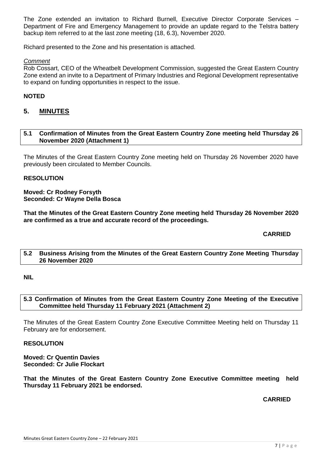The Zone extended an invitation to Richard Burnell, Executive Director Corporate Services – Department of Fire and Emergency Management to provide an update regard to the Telstra battery backup item referred to at the last zone meeting (18, 6.3), November 2020.

Richard presented to the Zone and his presentation is attached.

#### *Comment*

Rob Cossart, CEO of the Wheatbelt Development Commission, suggested the Great Eastern Country Zone extend an invite to a Department of Primary Industries and Regional Development representative to expand on funding opportunities in respect to the issue.

#### **NOTED**

#### <span id="page-6-0"></span>**5. MINUTES**

#### <span id="page-6-1"></span>**5.1 Confirmation of Minutes from the Great Eastern Country Zone meeting held Thursday 26 November 2020 (Attachment 1)**

The Minutes of the Great Eastern Country Zone meeting held on Thursday 26 November 2020 have previously been circulated to Member Councils.

#### **RESOLUTION**

#### **Moved: Cr Rodney Forsyth Seconded: Cr Wayne Della Bosca**

**That the Minutes of the Great Eastern Country Zone meeting held Thursday 26 November 2020 are confirmed as a true and accurate record of the proceedings.**

#### **CARRIED**

#### <span id="page-6-2"></span>**5.2 Business Arising from the Minutes of the Great Eastern Country Zone Meeting Thursday 26 November 2020**

#### **NIL**

#### <span id="page-6-3"></span>**5.3 Confirmation of Minutes from the Great Eastern Country Zone Meeting of the Executive Committee held Thursday 11 February 2021 (Attachment 2)**

The Minutes of the Great Eastern Country Zone Executive Committee Meeting held on Thursday 11 February are for endorsement.

#### **RESOLUTION**

**Moved: Cr Quentin Davies Seconded: Cr Julie Flockart**

**That the Minutes of the Great Eastern Country Zone Executive Committee meeting held Thursday 11 February 2021 be endorsed.**

#### **CARRIED**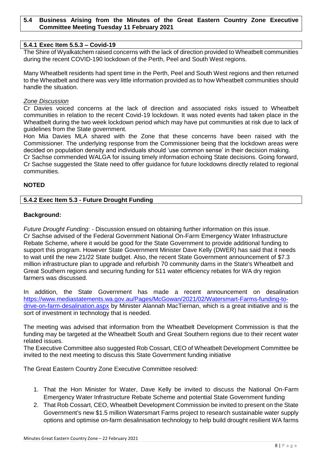#### <span id="page-7-0"></span>**5.4 Business Arising from the Minutes of the Great Eastern Country Zone Executive Committee Meeting Tuesday 11 February 2021**

#### <span id="page-7-1"></span>**5.4.1 Exec Item 5.5.3 – Covid-19**

The Shire of Wyalkatchem raised concerns with the lack of direction provided to Wheatbelt communities during the recent COVID-190 lockdown of the Perth, Peel and South West regions.

Many Wheatbelt residents had spent time in the Perth, Peel and South West regions and then returned to the Wheatbelt and there was very little information provided as to how Wheatbelt communities should handle the situation.

#### *Zone Discussion*

Cr Davies voiced concerns at the lack of direction and associated risks issued to Wheatbelt communities in relation to the recent Covid-19 lockdown. It was noted events had taken place in the Wheatbelt during the two week lockdown period which may have put communities at risk due to lack of guidelines from the State government.

Hon Mia Davies MLA shared with the Zone that these concerns have been raised with the Commissioner. The underlying response from the Commissioner being that the lockdown areas were decided on population density and individuals should 'use common sense' in their decision making.

Cr Sachse commended WALGA for issuing timely information echoing State decisions. Going forward, Cr Sachse suggested the State need to offer guidance for future lockdowns directly related to regional communities.

#### **NOTED**

#### <span id="page-7-2"></span>**5.4.2 Exec Item 5.3 - Future Drought Funding**

#### **Background:**

*Future Drought Funding: -* Discussion ensued on obtaining further information on this issue. Cr Sachse advised of the Federal Government National On-Farm Emergency Water Infrastructure Rebate Scheme, where it would be good for the State Government to provide additional funding to support this program. However State Government Minister Dave Kelly (DWER) has said that it needs to wait until the new 21/22 State budget. Also, the recent State Government announcement of \$7.3 million infrastructure plan to upgrade and refurbish 70 community dams in the State's Wheatbelt and Great Southern regions and securing funding for 511 water efficiency rebates for WA dry region farmers was discussed.

In addition, the State Government has made a recent announcement on desalination [https://www.mediastatements.wa.gov.au/Pages/McGowan/2021/02/Watersmart-Farms-funding-to](https://www.mediastatements.wa.gov.au/Pages/McGowan/2021/02/Watersmart-Farms-funding-to-drive-on-farm-desalination.aspx)[drive-on-farm-desalination.aspx](https://www.mediastatements.wa.gov.au/Pages/McGowan/2021/02/Watersmart-Farms-funding-to-drive-on-farm-desalination.aspx) by Minister Alannah MacTiernan, which is a great initiative and is the sort of investment in technology that is needed.

The meeting was advised that information from the Wheatbelt Development Commission is that the funding may be targeted at the Wheatbelt South and Great Southern regions due to their recent water related issues.

The Executive Committee also suggested Rob Cossart, CEO of Wheatbelt Development Committee be invited to the next meeting to discuss this State Government funding initiative

The Great Eastern Country Zone Executive Committee resolved:

- 1. That the Hon Minister for Water, Dave Kelly be invited to discuss the National On-Farm Emergency Water Infrastructure Rebate Scheme and potential State Government funding
- 2. That Rob Cossart, CEO, Wheatbelt Development Commission be invited to present on the State Government's new \$1.5 million Watersmart Farms project to research sustainable water supply options and optimise on-farm desalinisation technology to help build drought resilient WA farms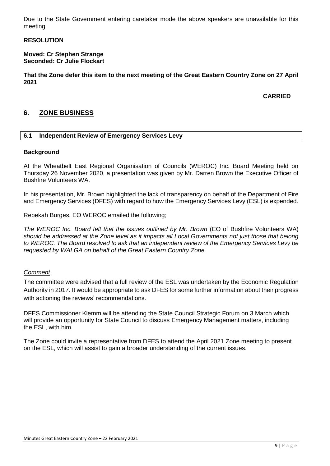Due to the State Government entering caretaker mode the above speakers are unavailable for this meeting

#### **RESOLUTION**

#### **Moved: Cr Stephen Strange Seconded: Cr Julie Flockart**

**That the Zone defer this item to the next meeting of the Great Eastern Country Zone on 27 April 2021**

**CARRIED**

#### <span id="page-8-0"></span>**6. ZONE BUSINESS**

#### <span id="page-8-1"></span>**6.1 Independent Review of Emergency Services Levy**

#### **Background**

At the Wheatbelt East Regional Organisation of Councils (WEROC) Inc. Board Meeting held on Thursday 26 November 2020, a presentation was given by Mr. Darren Brown the Executive Officer of Bushfire Volunteers WA.

In his presentation, Mr. Brown highlighted the lack of transparency on behalf of the Department of Fire and Emergency Services (DFES) with regard to how the Emergency Services Levy (ESL) is expended.

Rebekah Burges, EO WEROC emailed the following;

*The WEROC Inc. Board felt that the issues outlined by Mr. Brown* (EO of Bushfire Volunteers WA) *should be addressed at the Zone level as it impacts all Local Governments not just those that belong to WEROC. The Board resolved to ask that an independent review of the Emergency Services Levy be requested by WALGA on behalf of the Great Eastern Country Zone.* 

#### *Comment*

The committee were advised that a full review of the ESL was undertaken by the Economic Regulation Authority in 2017. It would be appropriate to ask DFES for some further information about their progress with actioning the reviews' recommendations.

DFES Commissioner Klemm will be attending the State Council Strategic Forum on 3 March which will provide an opportunity for State Council to discuss Emergency Management matters, including the ESL, with him.

The Zone could invite a representative from DFES to attend the April 2021 Zone meeting to present on the ESL, which will assist to gain a broader understanding of the current issues.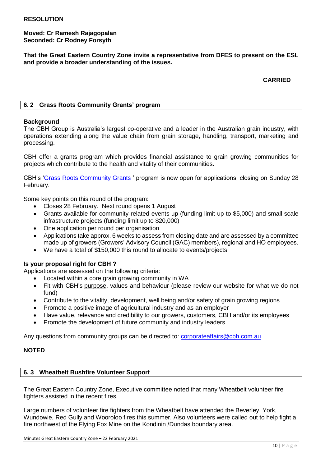**Moved: Cr Ramesh Rajagopalan Seconded: Cr Rodney Forsyth**

**That the Great Eastern Country Zone invite a representative from DFES to present on the ESL and provide a broader understanding of the issues.**

**CARRIED**

#### <span id="page-9-0"></span>**6. 2 Grass Roots Community Grants' program**

#### **Background**

The CBH Group is Australia's largest co-operative and a leader in the Australian grain industry, with operations extending along the value chain from grain storage, handling, transport, marketing and processing.

CBH offer a grants program which provides financial assistance to grain growing communities for projects which contribute to the health and vitality of their communities.

CBH's ['Grass Roots Community Grants '](https://www.cbh.com.au/cbh-community/grass-roots-community-grants-program) program is now open for applications, closing on Sunday 28 February.

Some key points on this round of the program:

- Closes 28 February. Next round opens 1 August
- Grants available for community-related events up (funding limit up to \$5,000) and small scale infrastructure projects (funding limit up to \$20,000)
- One application per round per organisation
- Applications take approx. 6 weeks to assess from closing date and are assessed by a committee made up of growers (Growers' Advisory Council (GAC) members), regional and HO employees.
- We have a total of \$150,000 this round to allocate to events/projects

#### **Is your proposal right for CBH ?**

Applications are assessed on the following criteria:

- Located within a core grain growing community in WA
- Fit with CBH's [purpose,](https://www.cbh.com.au/about-cbh) values and behaviour (please review our website for what we do not fund)
- Contribute to the vitality, development, well being and/or safety of grain growing regions
- Promote a positive image of agricultural industry and as an employer
- Have value, relevance and credibility to our growers, customers, CBH and/or its employees
- Promote the development of future community and industry leaders

Any questions from community groups can be directed to: [corporateaffairs@cbh.com.au](mailto:corporateaffairs@cbh.com.au)

#### **NOTED**

#### <span id="page-9-1"></span>**6. 3 Wheatbelt Bushfire Volunteer Support**

The Great Eastern Country Zone, Executive committee noted that many Wheatbelt volunteer fire fighters assisted in the recent fires.

Large numbers of volunteer fire fighters from the Wheatbelt have attended the Beverley, York, Wundowie, Red Gully and Wooroloo fires this summer. Also volunteers were called out to help fight a fire northwest of the Flying Fox Mine on the Kondinin /Dundas boundary area.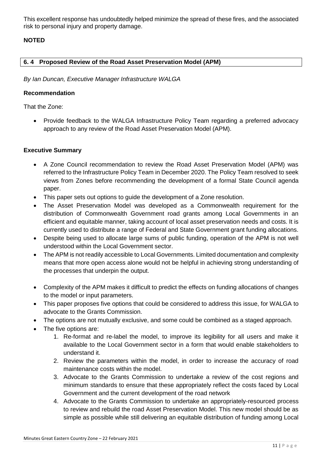This excellent response has undoubtedly helped minimize the spread of these fires, and the associated risk to personal injury and property damage.

#### **NOTED**

#### <span id="page-10-0"></span>**6. 4 Proposed Review of the Road Asset Preservation Model (APM)**

*By Ian Duncan, Executive Manager Infrastructure WALGA*

#### **Recommendation**

That the Zone:

• Provide feedback to the WALGA Infrastructure Policy Team regarding a preferred advocacy approach to any review of the Road Asset Preservation Model (APM).

#### **Executive Summary**

- A Zone Council recommendation to review the Road Asset Preservation Model (APM) was referred to the Infrastructure Policy Team in December 2020. The Policy Team resolved to seek views from Zones before recommending the development of a formal State Council agenda paper.
- This paper sets out options to guide the development of a Zone resolution.
- The Asset Preservation Model was developed as a Commonwealth requirement for the distribution of Commonwealth Government road grants among Local Governments in an efficient and equitable manner, taking account of local asset preservation needs and costs. It is currently used to distribute a range of Federal and State Government grant funding allocations.
- Despite being used to allocate large sums of public funding, operation of the APM is not well understood within the Local Government sector.
- The APM is not readily accessible to Local Governments. Limited documentation and complexity means that more open access alone would not be helpful in achieving strong understanding of the processes that underpin the output.
- Complexity of the APM makes it difficult to predict the effects on funding allocations of changes to the model or input parameters.
- This paper proposes five options that could be considered to address this issue, for WALGA to advocate to the Grants Commission.
- The options are not mutually exclusive, and some could be combined as a staged approach.
- The five options are:
	- 1. Re-format and re-label the model, to improve its legibility for all users and make it available to the Local Government sector in a form that would enable stakeholders to understand it.
	- 2. Review the parameters within the model, in order to increase the accuracy of road maintenance costs within the model.
	- 3. Advocate to the Grants Commission to undertake a review of the cost regions and minimum standards to ensure that these appropriately reflect the costs faced by Local Government and the current development of the road network
	- 4. Advocate to the Grants Commission to undertake an appropriately-resourced process to review and rebuild the road Asset Preservation Model. This new model should be as simple as possible while still delivering an equitable distribution of funding among Local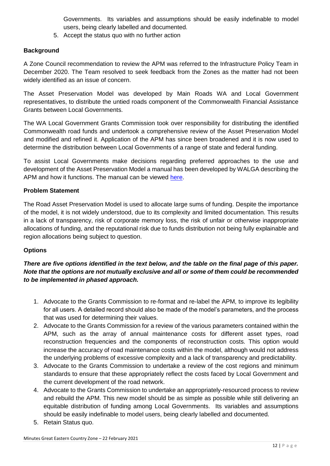Governments. Its variables and assumptions should be easily indefinable to model users, being clearly labelled and documented.

5. Accept the status quo with no further action

#### **Background**

A Zone Council recommendation to review the APM was referred to the Infrastructure Policy Team in December 2020. The Team resolved to seek feedback from the Zones as the matter had not been widely identified as an issue of concern.

The Asset Preservation Model was developed by Main Roads WA and Local Government representatives, to distribute the untied roads component of the Commonwealth Financial Assistance Grants between Local Governments.

The WA Local Government Grants Commission took over responsibility for distributing the identified Commonwealth road funds and undertook a comprehensive review of the Asset Preservation Model and modified and refined it. Application of the APM has since been broadened and it is now used to determine the distribution between Local Governments of a range of state and federal funding.

To assist Local Governments make decisions regarding preferred approaches to the use and development of the Asset Preservation Model a manual has been developed by WALGA describing the APM and how it functions. The manual can be viewed [here.](https://walga.asn.au/Policy-Advice-and-Advocacy/Infrastructure/Funding)

#### **Problem Statement**

The Road Asset Preservation Model is used to allocate large sums of funding. Despite the importance of the model, it is not widely understood, due to its complexity and limited documentation. This results in a lack of transparency, risk of corporate memory loss, the risk of unfair or otherwise inappropriate allocations of funding, and the reputational risk due to funds distribution not being fully explainable and region allocations being subject to question.

#### **Options**

#### *There are five options identified in the text below, and the table on the final page of this paper. Note that the options are not mutually exclusive and all or some of them could be recommended to be implemented in phased approach.*

- 1. Advocate to the Grants Commission to re-format and re-label the APM, to improve its legibility for all users. A detailed record should also be made of the model's parameters, and the process that was used for determining their values.
- 2. Advocate to the Grants Commission for a review of the various parameters contained within the APM, such as the array of annual maintenance costs for different asset types, road reconstruction frequencies and the components of reconstruction costs. This option would increase the accuracy of road maintenance costs within the model, although would not address the underlying problems of excessive complexity and a lack of transparency and predictability.
- 3. Advocate to the Grants Commission to undertake a review of the cost regions and minimum standards to ensure that these appropriately reflect the costs faced by Local Government and the current development of the road network.
- 4. Advocate to the Grants Commission to undertake an appropriately-resourced process to review and rebuild the APM. This new model should be as simple as possible while still delivering an equitable distribution of funding among Local Governments. Its variables and assumptions should be easily indefinable to model users, being clearly labelled and documented.
- 5. Retain Status quo.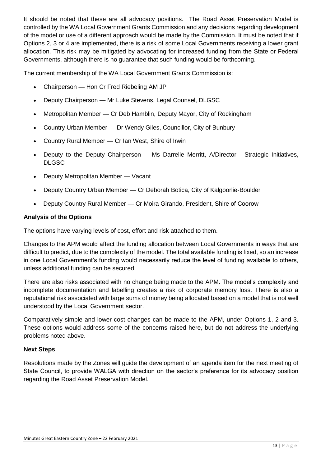It should be noted that these are all advocacy positions. The Road Asset Preservation Model is controlled by the WA Local Government Grants Commission and any decisions regarding development of the model or use of a different approach would be made by the Commission. It must be noted that if Options 2, 3 or 4 are implemented, there is a risk of some Local Governments receiving a lower grant allocation. This risk may be mitigated by advocating for increased funding from the State or Federal Governments, although there is no guarantee that such funding would be forthcoming.

The current membership of the WA Local Government Grants Commission is:

- Chairperson Hon Cr Fred Riebeling AM JP
- Deputy Chairperson Mr Luke Stevens, Legal Counsel, DLGSC
- Metropolitan Member Cr Deb Hamblin, Deputy Mayor, City of Rockingham
- Country Urban Member Dr Wendy Giles, Councillor, City of Bunbury
- Country Rural Member Cr Ian West, Shire of Irwin
- Deputy to the Deputy Chairperson Ms Darrelle Merritt, A/Director Strategic Initiatives, DLGSC
- Deputy Metropolitan Member Vacant
- Deputy Country Urban Member Cr Deborah Botica, City of Kalgoorlie-Boulder
- Deputy Country Rural Member Cr Moira Girando, President, Shire of Coorow

#### **Analysis of the Options**

The options have varying levels of cost, effort and risk attached to them.

Changes to the APM would affect the funding allocation between Local Governments in ways that are difficult to predict, due to the complexity of the model. The total available funding is fixed, so an increase in one Local Government's funding would necessarily reduce the level of funding available to others, unless additional funding can be secured.

There are also risks associated with no change being made to the APM. The model's complexity and incomplete documentation and labelling creates a risk of corporate memory loss. There is also a reputational risk associated with large sums of money being allocated based on a model that is not well understood by the Local Government sector.

Comparatively simple and lower-cost changes can be made to the APM, under Options 1, 2 and 3. These options would address some of the concerns raised here, but do not address the underlying problems noted above.

#### **Next Steps**

Resolutions made by the Zones will guide the development of an agenda item for the next meeting of State Council, to provide WALGA with direction on the sector's preference for its advocacy position regarding the Road Asset Preservation Model.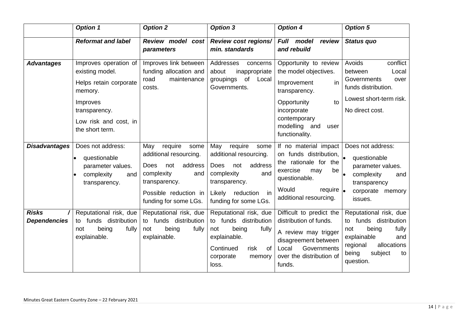|                                     | <b>Option 1</b>                                                                                                                                        | <b>Option 2</b>                                                                                                                                                           | <b>Option 3</b>                                                                                                                                                               | <b>Option 4</b>                                                                                                                                                                                      | <b>Option 5</b>                                                                                                                                                  |
|-------------------------------------|--------------------------------------------------------------------------------------------------------------------------------------------------------|---------------------------------------------------------------------------------------------------------------------------------------------------------------------------|-------------------------------------------------------------------------------------------------------------------------------------------------------------------------------|------------------------------------------------------------------------------------------------------------------------------------------------------------------------------------------------------|------------------------------------------------------------------------------------------------------------------------------------------------------------------|
|                                     | <b>Reformat and label</b>                                                                                                                              | Review model cost<br>parameters                                                                                                                                           | <b>Review cost regions/</b><br>min. standards                                                                                                                                 | Full model<br>review<br>and rebuild                                                                                                                                                                  | <b>Status quo</b>                                                                                                                                                |
| <b>Advantages</b>                   | Improves operation of<br>existing model.<br>Helps retain corporate<br>memory.<br>Improves<br>transparency.<br>Low risk and cost, in<br>the short term. | Improves link between<br>funding allocation and<br>road<br>maintenance<br>costs.                                                                                          | Addresses<br>concerns<br>inappropriate<br>about<br>of<br>Local<br>groupings<br>Governments.                                                                                   | Opportunity to review<br>the model objectives.<br>in<br>Improvement<br>transparency.<br>Opportunity<br>to<br>incorporate<br>contemporary<br>modelling and<br>user<br>functionality.                  | Avoids<br>conflict<br>between<br>Local<br>Governments<br>over<br>funds distribution.<br>Lowest short-term risk.<br>No direct cost.                               |
| <b>Disadvantages</b>                | Does not address:<br>questionable<br>$\bullet$<br>parameter values.<br>complexity<br>and<br>$\bullet$<br>transparency.                                 | May<br>require<br>some<br>additional resourcing.<br>address<br><b>Does</b><br>not<br>complexity<br>and<br>transparency.<br>Possible reduction in<br>funding for some LGs. | May<br>require<br>some<br>additional resourcing.<br>address<br><b>Does</b><br>not<br>complexity<br>and<br>transparency.<br>Likely<br>reduction<br>in<br>funding for some LGs. | If no material impact<br>on funds distribution, $\Big _{\bullet}$<br>the rationale for the<br>exercise<br>be<br>may<br>questionable.<br>Would<br>require $\vert_{\bullet}$<br>additional resourcing. | Does not address:<br>questionable<br>parameter values.<br>complexity<br>and<br>transparency<br>corporate memory<br>issues.                                       |
| <b>Risks</b><br><b>Dependencies</b> | Reputational risk, due<br>to funds distribution<br>being<br>not<br>fully<br>explainable.                                                               | Reputational risk, due<br>to funds distribution<br>being<br>fully<br>not<br>explainable.                                                                                  | Reputational risk, due<br>to funds distribution<br>being<br>fully<br>not<br>explainable.<br>Continued<br>risk<br>0f<br>corporate<br>memory<br>loss.                           | Difficult to predict the<br>distribution of funds.<br>A review may trigger<br>disagreement between<br>Governments<br>Local<br>over the distribution of<br>funds.                                     | Reputational risk, due<br>to funds distribution<br>being<br>fully<br>not<br>explainable<br>and<br>allocations<br>regional<br>subject<br>being<br>to<br>question. |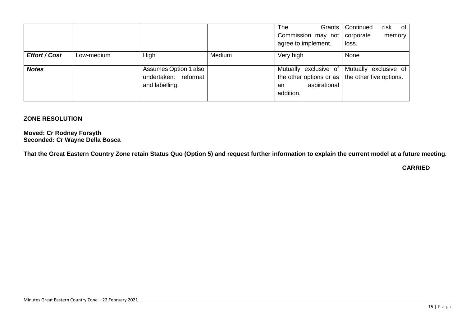|                      |            |                       |        | The<br>Grants                                           | of<br>Continued<br>risk                     |
|----------------------|------------|-----------------------|--------|---------------------------------------------------------|---------------------------------------------|
|                      |            |                       |        | Commission may not                                      | corporate<br>memory                         |
|                      |            |                       |        | agree to implement.                                     | loss.                                       |
| <b>Effort / Cost</b> | Low-medium | High                  | Medium | Very high                                               | None                                        |
|                      |            |                       |        |                                                         |                                             |
| <b>Notes</b>         |            | Assumes Option 1 also |        |                                                         | Mutually exclusive of Mutually exclusive of |
|                      |            | undertaken: reformat  |        | the other options or as $\vert$ the other five options. |                                             |
|                      |            | and labelling.        |        | aspirational<br>an                                      |                                             |
|                      |            |                       |        | addition.                                               |                                             |
|                      |            |                       |        |                                                         |                                             |

#### **ZONE RESOLUTION**

**Moved: Cr Rodney Forsyth Seconded: Cr Wayne Della Bosca**

**That the Great Eastern Country Zone retain Status Quo (Option 5) and request further information to explain the current model at a future meeting.**

#### **CARRIED**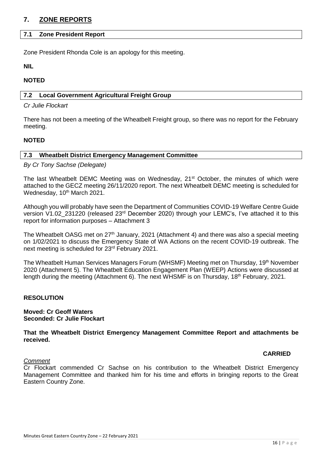#### <span id="page-15-0"></span>**7. ZONE REPORTS**

#### <span id="page-15-1"></span>**7.1 Zone President Report**

Zone President Rhonda Cole is an apology for this meeting.

**NIL**

#### **NOTED**

#### <span id="page-15-2"></span>**7.2 Local Government Agricultural Freight Group**

#### *Cr Julie Flockart*

There has not been a meeting of the Wheatbelt Freight group, so there was no report for the February meeting.

#### **NOTED**

#### <span id="page-15-3"></span>**7.3 Wheatbelt District Emergency Management Committee**

*By Cr Tony Sachse (Delegate)*

The last Wheatbelt DEMC Meeting was on Wednesday,  $21<sup>st</sup>$  October, the minutes of which were attached to the GECZ meeting 26/11/2020 report. The next Wheatbelt DEMC meeting is scheduled for Wednesday, 10<sup>th</sup> March 2021.

Although you will probably have seen the Department of Communities COVID-19 Welfare Centre Guide version V1.02\_231220 (released 23rd December 2020) through your LEMC's, I've attached it to this report for information purposes – Attachment 3

The Wheatbelt OASG met on 27<sup>th</sup> January, 2021 (Attachment 4) and there was also a special meeting on 1/02/2021 to discuss the Emergency State of WA Actions on the recent COVID-19 outbreak. The next meeting is scheduled for 23rd February 2021.

The Wheatbelt Human Services Managers Forum (WHSMF) Meeting met on Thursday, 19th November 2020 (Attachment 5). The Wheatbelt Education Engagement Plan (WEEP) Actions were discussed at length during the meeting (Attachment 6). The next WHSMF is on Thursday, 18<sup>th</sup> February, 2021.

#### **RESOLUTION**

#### **Moved: Cr Geoff Waters Seconded: Cr Julie Flockart**

**That the Wheatbelt District Emergency Management Committee Report and attachments be received.**

#### **CARRIED**

#### *Comment*

Cr Flockart commended Cr Sachse on his contribution to the Wheatbelt District Emergency Management Committee and thanked him for his time and efforts in bringing reports to the Great Eastern Country Zone.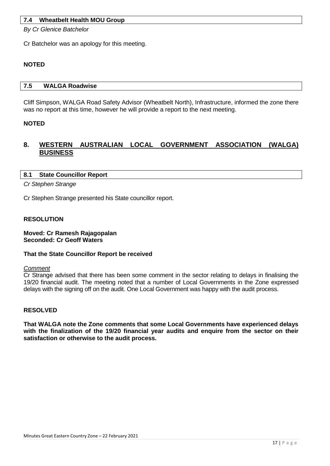#### <span id="page-16-0"></span>**7.4 Wheatbelt Health MOU Group**

*By Cr Glenice Batchelor*

Cr Batchelor was an apology for this meeting.

#### **NOTED**

#### <span id="page-16-1"></span>**7.5 WALGA Roadwise**

Cliff Simpson, WALGA Road Safety Advisor (Wheatbelt North), Infrastructure, informed the zone there was no report at this time, however he will provide a report to the next meeting.

#### **NOTED**

#### <span id="page-16-2"></span>**8. WESTERN AUSTRALIAN LOCAL GOVERNMENT ASSOCIATION (WALGA) BUSINESS**

#### <span id="page-16-3"></span>**8.1 State Councillor Report**

*Cr Stephen Strange*

Cr Stephen Strange presented his State councillor report.

#### **RESOLUTION**

**Moved: Cr Ramesh Rajagopalan Seconded: Cr Geoff Waters**

#### **That the State Councillor Report be received**

#### *Comment*

Cr Strange advised that there has been some comment in the sector relating to delays in finalising the 19/20 financial audit. The meeting noted that a number of Local Governments in the Zone expressed delays with the signing off on the audit. One Local Government was happy with the audit process.

#### **RESOLVED**

**That WALGA note the Zone comments that some Local Governments have experienced delays with the finalization of the 19/20 financial year audits and enquire from the sector on their satisfaction or otherwise to the audit process.**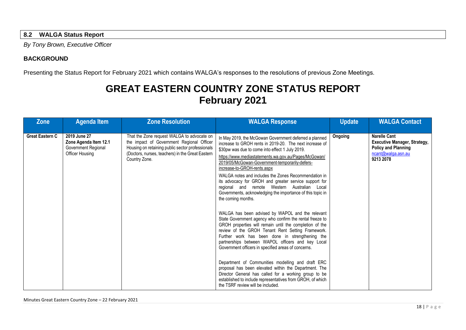#### **8.2 WALGA Status Report**

*By Tony Brown, Executive Officer*

#### **BACKGROUND**

Presenting the Status Report for February 2021 which contains WALGA's responses to the resolutions of previous Zone Meetings.

### **GREAT EASTERN COUNTRY ZONE STATUS REPORT February 2021**

<span id="page-17-0"></span>

| Zone                   | <b>Agenda Item</b>                                                              | <b>Zone Resolution</b>                                                                                                                                                                                           | <b>WALGA Response</b>                                                                                                                                                                                                                                                                                                                                                                                                                                                                                                                                                                                                                                                                                                                                                                                                                                                                                                                                                                                                                                                                                                                                                                                                                       | <b>Update</b> | <b>WALGA Contact</b>                                                                                                        |
|------------------------|---------------------------------------------------------------------------------|------------------------------------------------------------------------------------------------------------------------------------------------------------------------------------------------------------------|---------------------------------------------------------------------------------------------------------------------------------------------------------------------------------------------------------------------------------------------------------------------------------------------------------------------------------------------------------------------------------------------------------------------------------------------------------------------------------------------------------------------------------------------------------------------------------------------------------------------------------------------------------------------------------------------------------------------------------------------------------------------------------------------------------------------------------------------------------------------------------------------------------------------------------------------------------------------------------------------------------------------------------------------------------------------------------------------------------------------------------------------------------------------------------------------------------------------------------------------|---------------|-----------------------------------------------------------------------------------------------------------------------------|
| <b>Great Eastern C</b> | 2019 June 27<br>Zone Agenda Item 12.1<br>Government Regional<br>Officer Housing | That the Zone request WALGA to advocate on<br>the impact of Government Regional Officer<br>Housing on retaining public sector professionals<br>(Doctors, nurses, teachers) in the Great Eastern<br>Country Zone. | In May 2019, the McGowan Government deferred a planned<br>increase to GROH rents in 2019-20. The next increase of<br>\$30pw was due to come into effect 1 July 2019.<br>https://www.mediastatements.wa.gov.au/Pages/McGowan/<br>2019/05/McGowan-Government-temporarily-defers-<br>increase-to-GROH-rents.aspx<br>WALGA notes and includes the Zones Recommendation in<br>its advocacy for GROH and greater service support for<br>regional and remote Western Australian Local<br>Governments, acknowledging the importance of this topic in<br>the coming months.<br>WALGA has been advised by WAPOL and the relevant<br>State Government agency who confirm the rental freeze to<br>GROH properties will remain until the completion of the<br>review of the GROH Tenant Rent Setting Framework.<br>Further work has been done in strengthening the<br>partnerships between WAPOL officers and key Local<br>Government officers in specified areas of concerns.<br>Department of Communities modelling and draft ERC<br>proposal has been elevated within the Department. The<br>Director General has called for a working group to be<br>established to include representatives from GROH, of which<br>the TSRF review will be included. | Ongoing       | <b>Narelle Cant</b><br><b>Executive Manager, Strategy,</b><br><b>Policy and Planning</b><br>ncant@walga.asn.au<br>9213 2078 |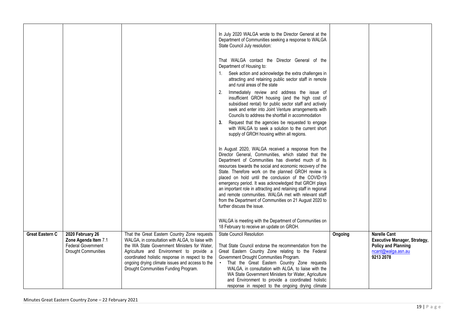|                        |                                                                                                     |                                                                                                                                                                                                                                                                                                                                            | In July 2020 WALGA wrote to the Director General at the<br>Department of Communities seeking a response to WALGA<br>State Council July resolution:<br>That WALGA contact the Director General of the<br>Department of Housing to:                                                                                                                                                                                                                                                                                                                                                                                         |         |                                                                                                                             |
|------------------------|-----------------------------------------------------------------------------------------------------|--------------------------------------------------------------------------------------------------------------------------------------------------------------------------------------------------------------------------------------------------------------------------------------------------------------------------------------------|---------------------------------------------------------------------------------------------------------------------------------------------------------------------------------------------------------------------------------------------------------------------------------------------------------------------------------------------------------------------------------------------------------------------------------------------------------------------------------------------------------------------------------------------------------------------------------------------------------------------------|---------|-----------------------------------------------------------------------------------------------------------------------------|
|                        |                                                                                                     |                                                                                                                                                                                                                                                                                                                                            | 1. Seek action and acknowledge the extra challenges in<br>attracting and retaining public sector staff in remote<br>and rural areas of the state                                                                                                                                                                                                                                                                                                                                                                                                                                                                          |         |                                                                                                                             |
|                        |                                                                                                     |                                                                                                                                                                                                                                                                                                                                            | Immediately review and address the issue of<br>2.<br>insufficient GROH housing (and the high cost of<br>subsidised rental) for public sector staff and actively<br>seek and enter into Joint Venture arrangements with<br>Councils to address the shortfall in accommodation                                                                                                                                                                                                                                                                                                                                              |         |                                                                                                                             |
|                        |                                                                                                     |                                                                                                                                                                                                                                                                                                                                            | Request that the agencies be requested to engage<br>3.<br>with WALGA to seek a solution to the current short<br>supply of GROH housing within all regions.                                                                                                                                                                                                                                                                                                                                                                                                                                                                |         |                                                                                                                             |
|                        |                                                                                                     |                                                                                                                                                                                                                                                                                                                                            | In August 2020, WALGA received a response from the<br>Director General, Communities, which stated that the<br>Department of Communities has diverted much of its<br>resources towards the social and economic recovery of the<br>State. Therefore work on the planned GROH review is<br>placed on hold until the conclusion of the COVID-19<br>emergency period. It was acknowledged that GROH plays<br>an important role in attracting and retaining staff in regional<br>and remote communities. WALGA met with relevant staff<br>from the Department of Communities on 21 August 2020 to<br>further discuss the issue. |         |                                                                                                                             |
|                        |                                                                                                     |                                                                                                                                                                                                                                                                                                                                            | WALGA is meeting with the Department of Communities on<br>18 February to receive an update on GROH.                                                                                                                                                                                                                                                                                                                                                                                                                                                                                                                       |         |                                                                                                                             |
| <b>Great Eastern C</b> | 2020 February 26<br>Zone Agenda Item 7.1<br><b>Federal Government</b><br><b>Drought Communities</b> | That the Great Eastern Country Zone requests<br>WALGA, in consultation with ALGA, to liaise with<br>the WA State Government Ministers for Water,<br>Agriculture and Environment to provide a<br>coordinated holistic response in respect to the<br>ongoing drying climate issues and access to the<br>Drought Communities Funding Program. | <b>State Council Resolution</b><br>That State Council endorse the recommendation from the<br>Great Eastern Country Zone relating to the Federal<br>Government Drought Communities Program.<br>• That the Great Eastern Country Zone requests<br>WALGA, in consultation with ALGA, to liaise with the<br>WA State Government Ministers for Water, Agriculture<br>and Environment to provide a coordinated holistic<br>response in respect to the ongoing drying climate                                                                                                                                                    | Ongoing | <b>Narelle Cant</b><br><b>Executive Manager, Strategy,</b><br><b>Policy and Planning</b><br>ncant@walga.asn.au<br>9213 2078 |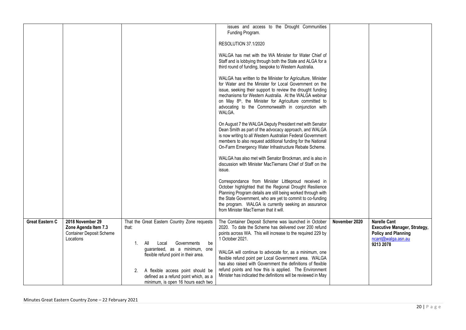|                        |                                                                                          |                                                                                                                                                                                                                                                                                                  | issues and access to the Drought Communities<br>Funding Program.<br>RESOLUTION 37.1/2020<br>WALGA has met with the WA Minister for Water Chief of<br>Staff and is lobbying through both the State and ALGA for a<br>third round of funding, bespoke to Western Australia.<br>WALGA has written to the Minister for Agriculture, Minister<br>for Water and the Minister for Local Government on the<br>issue, seeking their support to review the drought funding<br>mechanisms for Western Australia. At the WALGA webinar<br>on May 8 <sup>th</sup> , the Minister for Agriculture committed to<br>advocating to the Commonwealth in conjunction with<br>WALGA.<br>On August 7 the WALGA Deputy President met with Senator<br>Dean Smith as part of the advocacy approach, and WALGA<br>is now writing to all Western Australian Federal Government<br>members to also request additional funding for the National<br>On-Farm Emergency Water Infrastructure Rebate Scheme.<br>WALGA has also met with Senator Brockman, and is also in<br>discussion with Minister MacTiernans Chief of Staff on the<br>issue.<br>Correspondance from Minister Littleproud received in<br>October highlighted that the Regional Drought Resilience<br>Planning Program details are still being worked through with<br>the State Government, who are yet to commit to co-funding<br>the program. WALGA is currently seeking an assurance<br>from Minister MacTiernan that it will. |               |                                                                                                                             |
|------------------------|------------------------------------------------------------------------------------------|--------------------------------------------------------------------------------------------------------------------------------------------------------------------------------------------------------------------------------------------------------------------------------------------------|---------------------------------------------------------------------------------------------------------------------------------------------------------------------------------------------------------------------------------------------------------------------------------------------------------------------------------------------------------------------------------------------------------------------------------------------------------------------------------------------------------------------------------------------------------------------------------------------------------------------------------------------------------------------------------------------------------------------------------------------------------------------------------------------------------------------------------------------------------------------------------------------------------------------------------------------------------------------------------------------------------------------------------------------------------------------------------------------------------------------------------------------------------------------------------------------------------------------------------------------------------------------------------------------------------------------------------------------------------------------------------------------------------------------------------------------------------------------|---------------|-----------------------------------------------------------------------------------------------------------------------------|
| <b>Great Eastern C</b> | 2018 November 29<br>Zone Agenda Item 7.3<br><b>Container Deposit Scheme</b><br>Locations | That the Great Eastern Country Zone requests<br>that:<br>1. All<br>Governments<br>be<br>Local<br>guaranteed, as a minimum, one<br>flexible refund point in their area.<br>A flexible access point should be<br>2.<br>defined as a refund point which, as a<br>minimum, is open 16 hours each two | The Container Deposit Scheme was launched in October<br>2020. To date the Scheme has delivered over 200 refund<br>points across WA. This will increase to the required 229 by<br>1 October 2021.<br>WALGA will continue to advocate for, as a minimum, one<br>flexible refund point per Local Government area. WALGA<br>has also raised with Government the definitions of flexible<br>refund points and how this is applied. The Environment<br>Minister has indicated the definitions will be reviewed in May                                                                                                                                                                                                                                                                                                                                                                                                                                                                                                                                                                                                                                                                                                                                                                                                                                                                                                                                                     | November 2020 | <b>Narelle Cant</b><br><b>Executive Manager, Strategy,</b><br><b>Policy and Planning</b><br>ncant@walga.asn.au<br>9213 2078 |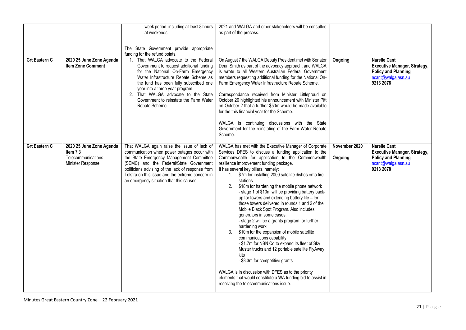| <b>Grt Eastern C</b> | 2020 25 June Zone Agenda<br><b>Item Zone Comment</b>                             | week period, including at least 8 hours<br>at weekends<br>The State Government provide appropriate<br>funding for the refund points.<br>1. That WALGA advocate to the Federal<br>Government to request additional funding<br>for the National On-Farm Emergency<br>Water Infrastructure Rebate Scheme as<br>the fund has been fully subscribed one<br>year into a three year program.<br>2. That WALGA advocate to the State<br>Government to reinstate the Farm Water<br>Rebate Scheme. | 2021 and WALGA and other stakeholders will be consulted<br>as part of the process.<br>On August 7 the WALGA Deputy President met with Senator<br>Dean Smith as part of the advocacy approach, and WALGA<br>is wrote to all Western Australian Federal Government<br>members requesting additional funding for the National On-<br>Farm Emergency Water Infrastructure Rebate Scheme.<br>Correspondance received from Minister Littleproud on<br>October 20 highlighted his announcement with Minister Pitt<br>on October 2 that a further \$50m would be made available<br>for the this financial year for the Scheme.<br>WALGA is continuing discussions with the State<br>Government for the reinstating of the Farm Water Rebate<br>Scheme.                                                                                                                                                                                                                                                                                                                                              | Ongoing                  | <b>Narelle Cant</b><br><b>Executive Manager, Strategy,</b><br><b>Policy and Planning</b><br>ncant@walga.asn.au<br>9213 2078 |
|----------------------|----------------------------------------------------------------------------------|------------------------------------------------------------------------------------------------------------------------------------------------------------------------------------------------------------------------------------------------------------------------------------------------------------------------------------------------------------------------------------------------------------------------------------------------------------------------------------------|---------------------------------------------------------------------------------------------------------------------------------------------------------------------------------------------------------------------------------------------------------------------------------------------------------------------------------------------------------------------------------------------------------------------------------------------------------------------------------------------------------------------------------------------------------------------------------------------------------------------------------------------------------------------------------------------------------------------------------------------------------------------------------------------------------------------------------------------------------------------------------------------------------------------------------------------------------------------------------------------------------------------------------------------------------------------------------------------|--------------------------|-----------------------------------------------------------------------------------------------------------------------------|
| <b>Grt Eastern C</b> | 2020 25 June Zone Agenda<br>Item 7.3<br>Telecommunications-<br>Minister Response | That WALGA again raise the issue of lack of<br>communication when power outages occur with<br>the State Emergency Management Committee<br>(SEMC) and the Federal/State Government<br>politicians advising of the lack of response from<br>Telstra on this issue and the extreme concern in<br>an emergency situation that this causes.                                                                                                                                                   | WALGA has met with the Executive Manager of Corporate<br>Services DFES to discuss a funding application to the<br>Commonwealth for application to the Commonwealth<br>resilience improvement funding package.<br>It has several key pillars, namely:<br>1. \$7m for installing 2000 satellite dishes onto fire<br>stations<br>2.<br>\$18m for hardening the mobile phone network<br>- stage 1 of \$10m will be providing battery back-<br>up for towers and extending battery life - for<br>those towers delivered in rounds 1 and 2 of the<br>Mobile Black Spot Program. Also includes<br>generators in some cases.<br>- stage 2 will be a grants program for further<br>hardening work<br>3.<br>\$10m for the expansion of mobile satellite<br>communications capability<br>-\$1.7m for NBN Co to expand its fleet of Sky<br>Muster trucks and 12 portable satellite FlyAway<br>kits<br>- \$8.3m for competitive grants<br>WALGA is in discussion with DFES as to the priority<br>elements that would constitute a WA funding bid to assist in<br>resolving the telecommunications issue. | November 2020<br>Ongoing | <b>Narelle Cant</b><br><b>Executive Manager, Strategy,</b><br><b>Policy and Planning</b><br>ncant@walga.asn.au<br>9213 2078 |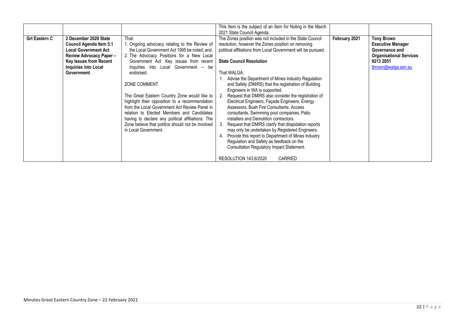|                      |                             |                                                   | This Item is the subject of an Item for Noting in the March   |               |                                |
|----------------------|-----------------------------|---------------------------------------------------|---------------------------------------------------------------|---------------|--------------------------------|
|                      |                             |                                                   | 2021 State Council Agenda.                                    |               |                                |
| <b>Grt Eastern C</b> | 2 December 2020 State       | That:                                             | The Zones position was not included in the State Council      | February 2021 | <b>Tony Brown</b>              |
|                      | Council Agenda Item 5.1     | 1. Ongoing advocacy relating to the Review of     | resolution, however the Zones position on removing            |               | <b>Executive Manager</b>       |
|                      | <b>Local Government Act</b> | the Local Government Act 1995 be noted; and,      | political affiliations from Local Government will be pursued. |               | Governance and                 |
|                      | Review Advocacy Paper -     | 2. The Advocacy Positions for a New Local         |                                                               |               | <b>Organisational Services</b> |
|                      | Key Issues from Recent      | Government Act: Key issues from recent            | <b>State Council Resolution</b>                               |               | 9213 2051                      |
|                      | Inquiries into Local        | Inquiries into Local Government - be              |                                                               |               | tbrown@walga.asn.au            |
|                      | Government                  | endorsed.                                         | That WALGA:                                                   |               |                                |
|                      |                             |                                                   | 1. Advise the Department of Mines Industry Regulation         |               |                                |
|                      |                             | ZONE COMMENT                                      | and Safety (DMIRS) that the registration of Building          |               |                                |
|                      |                             |                                                   | Engineers in WA is supported.                                 |               |                                |
|                      |                             | The Great Eastern Country Zone would like to      | 2. Request that DMIRS also consider the registration of       |               |                                |
|                      |                             | highlight their opposition to a recommendation    | Electrical Engineers, Façade Engineers, Energy                |               |                                |
|                      |                             | from the Local Government Act Review Panel in     | Assessors, Bush Fire Consultants, Access                      |               |                                |
|                      |                             | relation to Elected Members and Candidates        | consultants, Swimming pool companies, Patio                   |               |                                |
|                      |                             | having to declare any political affiliations. The | installers and Demolition contractors.                        |               |                                |
|                      |                             | Zone believe that politics should not be involved | 3. Request that DMIRS clarify that dilapidation reports       |               |                                |
|                      |                             | in Local Government.                              | may only be undertaken by Registered Engineers.               |               |                                |
|                      |                             |                                                   | Provide this report to Department of Mines Industry<br>4.     |               |                                |
|                      |                             |                                                   | Regulation and Safety as feedback on the                      |               |                                |
|                      |                             |                                                   | <b>Consultation Regulatory Impact Statement.</b>              |               |                                |
|                      |                             |                                                   |                                                               |               |                                |
|                      |                             |                                                   | RESOLUTION 143.6/2020<br><b>CARRIED</b>                       |               |                                |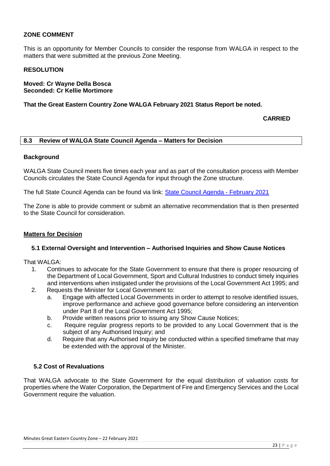#### **ZONE COMMENT**

This is an opportunity for Member Councils to consider the response from WALGA in respect to the matters that were submitted at the previous Zone Meeting.

#### **RESOLUTION**

**Moved: Cr Wayne Della Bosca Seconded: Cr Kellie Mortimore**

**That the Great Eastern Country Zone WALGA February 2021 Status Report be noted.**

**CARRIED**

#### <span id="page-22-0"></span>**8.3 Review of WALGA State Council Agenda – Matters for Decision**

#### **Background**

WALGA State Council meets five times each year and as part of the consultation process with Member Councils circulates the State Council Agenda for input through the Zone structure.

The full State Council Agenda can be found via link: [State Council Agenda -](https://walga.asn.au/getattachment/a0676f1f-652d-4ebf-96ec-ff8fa747425b/Agenda-State-Council-3-March-2021.pdf) February 2021

The Zone is able to provide comment or submit an alternative recommendation that is then presented to the State Council for consideration.

#### **Matters for Decision**

#### **5.1 External Oversight and Intervention – Authorised Inquiries and Show Cause Notices**

That WALGA:

- 1. Continues to advocate for the State Government to ensure that there is proper resourcing of the Department of Local Government, Sport and Cultural Industries to conduct timely inquiries and interventions when instigated under the provisions of the Local Government Act 1995; and
- 2. Requests the Minister for Local Government to:
	- a. Engage with affected Local Governments in order to attempt to resolve identified issues, improve performance and achieve good governance before considering an intervention under Part 8 of the Local Government Act 1995;
	- b. Provide written reasons prior to issuing any Show Cause Notices;
	- c. Require regular progress reports to be provided to any Local Government that is the subject of any Authorised Inquiry; and
	- d. Require that any Authorised Inquiry be conducted within a specified timeframe that may be extended with the approval of the Minister.

#### **5.2 Cost of Revaluations**

That WALGA advocate to the State Government for the equal distribution of valuation costs for properties where the Water Corporation, the Department of Fire and Emergency Services and the Local Government require the valuation.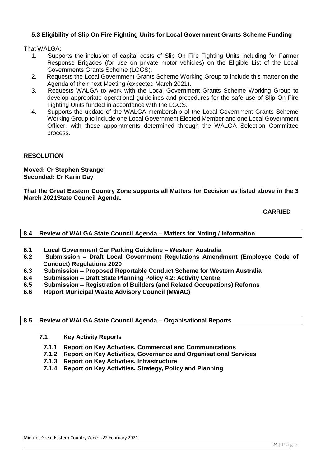#### **5.3 Eligibility of Slip On Fire Fighting Units for Local Government Grants Scheme Funding**

That WAI GA:

- 1. Supports the inclusion of capital costs of Slip On Fire Fighting Units including for Farmer Response Brigades (for use on private motor vehicles) on the Eligible List of the Local Governments Grants Scheme (LGGS).
- 2. Requests the Local Government Grants Scheme Working Group to include this matter on the Agenda of their next Meeting (expected March 2021).
- 3. Requests WALGA to work with the Local Government Grants Scheme Working Group to develop appropriate operational guidelines and procedures for the safe use of Slip On Fire Fighting Units funded in accordance with the LGGS.
- 4. Supports the update of the WALGA membership of the Local Government Grants Scheme Working Group to include one Local Government Elected Member and one Local Government Officer, with these appointments determined through the WALGA Selection Committee process.

#### **RESOLUTION**

**Moved: Cr Stephen Strange Seconded: Cr Karin Day**

**That the Great Eastern Country Zone supports all Matters for Decision as listed above in the 3 March 2021State Council Agenda.**

**CARRIED**

#### <span id="page-23-0"></span>**8.4 Review of WALGA State Council Agenda – Matters for Noting / Information**

- **6.1 Local Government Car Parking Guideline – Western Australia**
- **6.2 Submission – Draft Local Government Regulations Amendment (Employee Code of Conduct) Regulations 2020**
- **6.3 Submission – Proposed Reportable Conduct Scheme for Western Australia**
- **6.4 Submission – Draft State Planning Policy 4.2: Activity Centre**
- **6.5 Submission – Registration of Builders (and Related Occupations) Reforms**
- **6.6 Report Municipal Waste Advisory Council (MWAC)**

#### <span id="page-23-1"></span>**8.5 Review of WALGA State Council Agenda – Organisational Reports**

- **7.1 Key Activity Reports**
- **7.1.1 Report on Key Activities, Commercial and Communications**
- **7.1.2 Report on Key Activities, Governance and Organisational Services**
- **7.1.3 Report on Key Activities, Infrastructure**
- **7.1.4 Report on Key Activities, Strategy, Policy and Planning**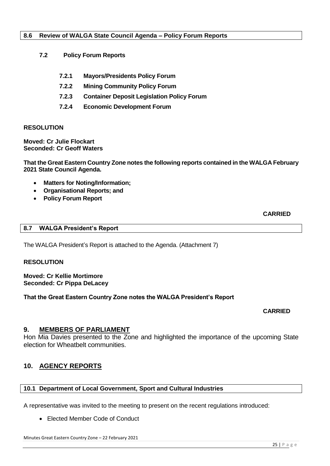#### <span id="page-24-0"></span>**8.6 Review of WALGA State Council Agenda – Policy Forum Reports**

- **7.2 Policy Forum Reports**
	- **7.2.1 Mayors/Presidents Policy Forum**
	- **7.2.2 Mining Community Policy Forum**
	- **7.2.3 Container Deposit Legislation Policy Forum**
	- **7.2.4 Economic Development Forum**

#### **RESOLUTION**

**Moved: Cr Julie Flockart Seconded: Cr Geoff Waters**

**That the Great Eastern Country Zone notes the following reports contained in the WALGA February 2021 State Council Agenda.**

- **Matters for Noting/Information;**
- **Organisational Reports; and**
- **Policy Forum Report**

**CARRIED**

#### <span id="page-24-1"></span>**8.7 WALGA President's Report**

The WALGA President's Report is attached to the Agenda. (Attachment 7)

#### **RESOLUTION**

**Moved: Cr Kellie Mortimore Seconded: Cr Pippa DeLacey**

**That the Great Eastern Country Zone notes the WALGA President's Report**

**CARRIED**

#### <span id="page-24-2"></span>**9. MEMBERS OF PARLIAMENT**

Hon Mia Davies presented to the Zone and highlighted the importance of the upcoming State election for Wheatbelt communities.

#### <span id="page-24-3"></span>**10. AGENCY REPORTS**

#### <span id="page-24-4"></span>**10.1 Department of Local Government, Sport and Cultural Industries**

A representative was invited to the meeting to present on the recent regulations introduced:

Elected Member Code of Conduct

Minutes Great Eastern Country Zone – 22 February 2021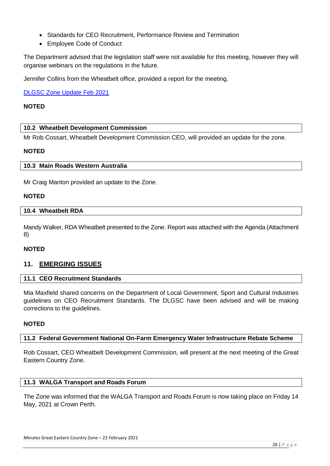- Standards for CEO Recruitment, Performance Review and Termination
- Employee Code of Conduct

The Department advised that the legislation staff were not available for this meeting, however they will organise webinars on the regulations in the future.

Jennifer Collins from the Wheatbelt office, provided a report for the meeting.

[DLGSC Zone Update Feb 2021](https://mailchi.mp/dlgsc.wa.gov.au/zone-update-from-the-department-of-local-government-sport-and-cultural-industries-1097266)

#### **NOTED**

#### <span id="page-25-0"></span>**10.2 Wheatbelt Development Commission**

Mr Rob Cossart, Wheatbelt Development Commission CEO, will provided an update for the zone.

#### <span id="page-25-1"></span>**NOTED**

#### **10.3 Main Roads Western Australia**

Mr Craig Manton provided an update to the Zone.

#### **NOTED**

#### <span id="page-25-2"></span>**10.4 Wheatbelt RDA**

Mandy Walker, RDA Wheatbelt presented to the Zone. Report was attached with the Agenda (Attachment 8)

#### **NOTED**

#### <span id="page-25-4"></span><span id="page-25-3"></span>**11. EMERGING ISSUES**

#### **11.1 CEO Recruitment Standards**

Mia Maxfield shared concerns on the Department of Local Government, Sport and Cultural Industries guidelines on CEO Recruitment Standards. The DLGSC have been advised and will be making corrections to the guidelines.

#### <span id="page-25-5"></span>**NOTED**

#### **11.2 Federal Government National On-Farm Emergency Water Infrastructure Rebate Scheme**

Rob Cossart, CEO Wheatbelt Development Commission, will present at the next meeting of the Great Eastern Country Zone.

#### <span id="page-25-6"></span>**11.3 WALGA Transport and Roads Forum**

The Zone was informed that the WALGA Transport and Roads Forum is now taking place on Friday 14 May, 2021 at Crown Perth.